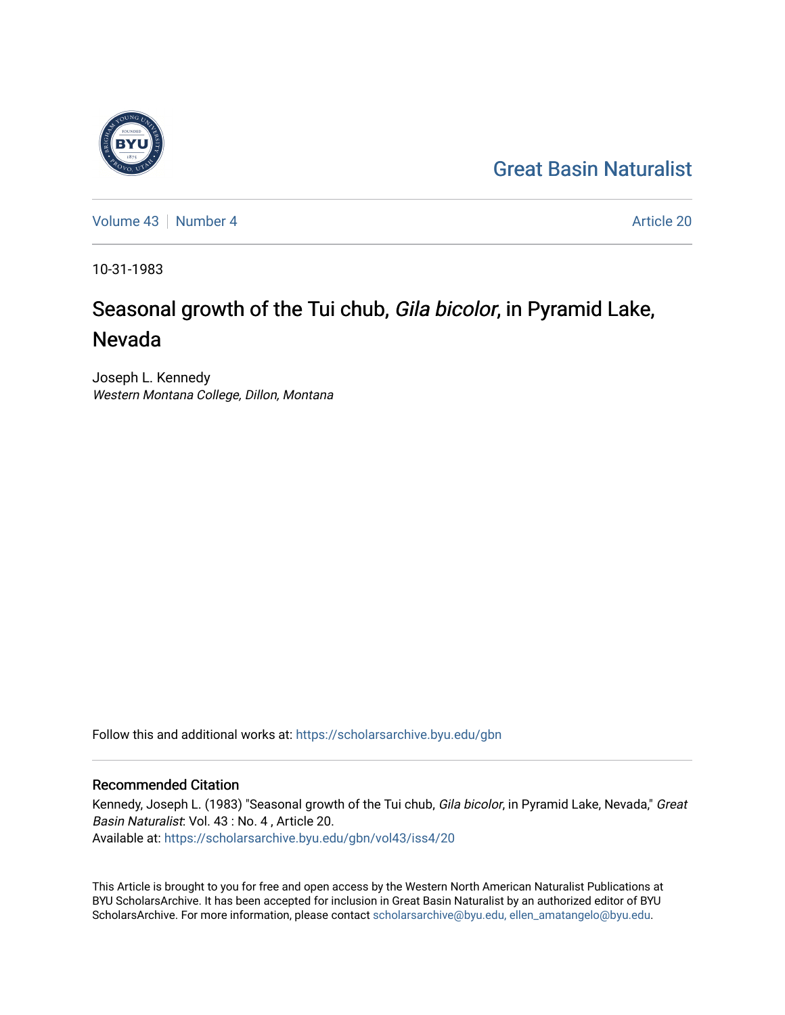# [Great Basin Naturalist](https://scholarsarchive.byu.edu/gbn)

[Volume 43](https://scholarsarchive.byu.edu/gbn/vol43) [Number 4](https://scholarsarchive.byu.edu/gbn/vol43/iss4) Article 20

10-31-1983

# Seasonal growth of the Tui chub, Gila bicolor, in Pyramid Lake, Nevada

Joseph L. Kennedy Western Montana College, Dillon, Montana

Follow this and additional works at: [https://scholarsarchive.byu.edu/gbn](https://scholarsarchive.byu.edu/gbn?utm_source=scholarsarchive.byu.edu%2Fgbn%2Fvol43%2Fiss4%2F20&utm_medium=PDF&utm_campaign=PDFCoverPages) 

# Recommended Citation

Kennedy, Joseph L. (1983) "Seasonal growth of the Tui chub, Gila bicolor, in Pyramid Lake, Nevada," Great Basin Naturalist: Vol. 43 : No. 4 , Article 20. Available at: [https://scholarsarchive.byu.edu/gbn/vol43/iss4/20](https://scholarsarchive.byu.edu/gbn/vol43/iss4/20?utm_source=scholarsarchive.byu.edu%2Fgbn%2Fvol43%2Fiss4%2F20&utm_medium=PDF&utm_campaign=PDFCoverPages) 

This Article is brought to you for free and open access by the Western North American Naturalist Publications at BYU ScholarsArchive. It has been accepted for inclusion in Great Basin Naturalist by an authorized editor of BYU ScholarsArchive. For more information, please contact [scholarsarchive@byu.edu, ellen\\_amatangelo@byu.edu.](mailto:scholarsarchive@byu.edu,%20ellen_amatangelo@byu.edu)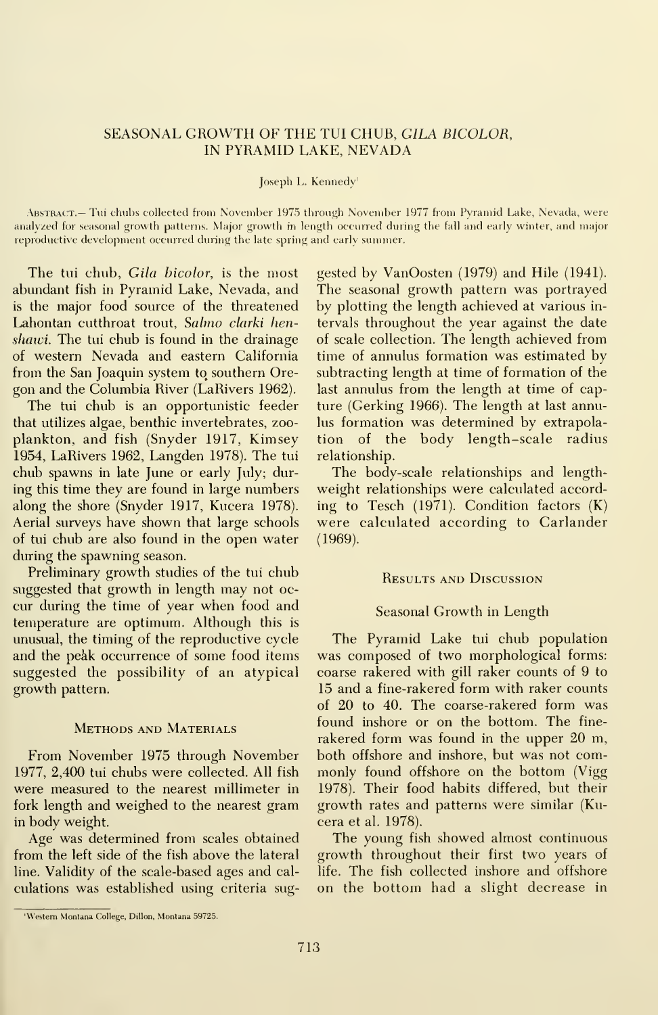# SEASONAL GROWTH OF THE TUI CHUB, GILA BICOLOR, IN PYRAMID LAKE, NEVADA

#### Joseph L. Kennedy'

.\bstrac:t.— Tui chubs collected from November 1975 through November 1977 from Pyramid Lake, Nevada, were analyzed for seasonal growth patterns. Major growth in length occurred during the fall and early winter, and major reproductive development occurred during the late spring and early summer.

The tui chub, Gila bicolor, is the most abundant fish in Pyramid Lake, Nevada, and is the major food source of the threatened Lahontan cutthroat trout, Salmo clarki henshawi. The tui chub is found in the drainage of western Nevada and eastern Cahfornia from the San Joaquin system to southern Oregon and the Columbia River (LaRivers 1962).

The tui chub is an opportunistic feeder that utihzes algae, benthic invertebrates, zoo plankton, and fish (Snyder 1917, Kimsey 1954, LaRivers 1962, Langden 1978). The tui chub spawns in late June or early July; during this time they are found in large numbers along the shore (Snyder 1917, Kucera 1978). Aerial surveys have shown that large schools of tui chub are also found in the open water during the spawning season.

Preliminary growth studies of the tui chub suggested that growth in length may not oc cur during the time of year when food and temperature are optimum. Although this is unusual, the timing of the reproductive cycle and the peak occurrence of some food items suggested the possibility of an atypical growth pattern.

### Methods and Materials

From November 1975 through November 1977, 2,400 tui chubs were collected. All fish were measured to the nearest millimeter in fork length and weighed to the nearest gram in body weight.

Age was determined from scales obtained from the left side of the fish above the lateral line. Validity of the scale-based ages and cal culations was established using criteria suggested by VanOosten (1979) and Hile (1941). The seasonal growth pattern was portrayed by plotting the length achieved at various in tervals throughout the year against the date of scale collection. The length achieved from time of annulus formation was estimated by subtracting length at time of formation of the last annulus from the length at time of capture (Gerking 1966). The length at last annulus formation was determined by extrapolation of the body length-scale radius relationship.

The body-scale relationships and lengthweight relationships were calculated according to Tesch (1971). Condition factors (K) were calculated according to Carlander (1969).

#### Results and Discussion

### Seasonal Growth in Length

The Pyramid Lake tui chub population was composed of two morphological forms: coarse rakered with gill raker counts of 9 to 15 and a fine-rakered form with raker counts of 20 to 40. The coarse-rakered form was found inshore or on the bottom. The fine rakered form was found in the upper 20 m, both offshore and inshore, but was not com monly found offshore on the bottom (Vigg 1978). Their food habits differed, but their growth rates and patterns were similar (Kucera et al. 1978).

The young fish showed almost continuous growth throughout their first two years of life. The fish collected inshore and offshore on the bottom had a slight decrease in

Western Montana College, Dillon. Montana 59725.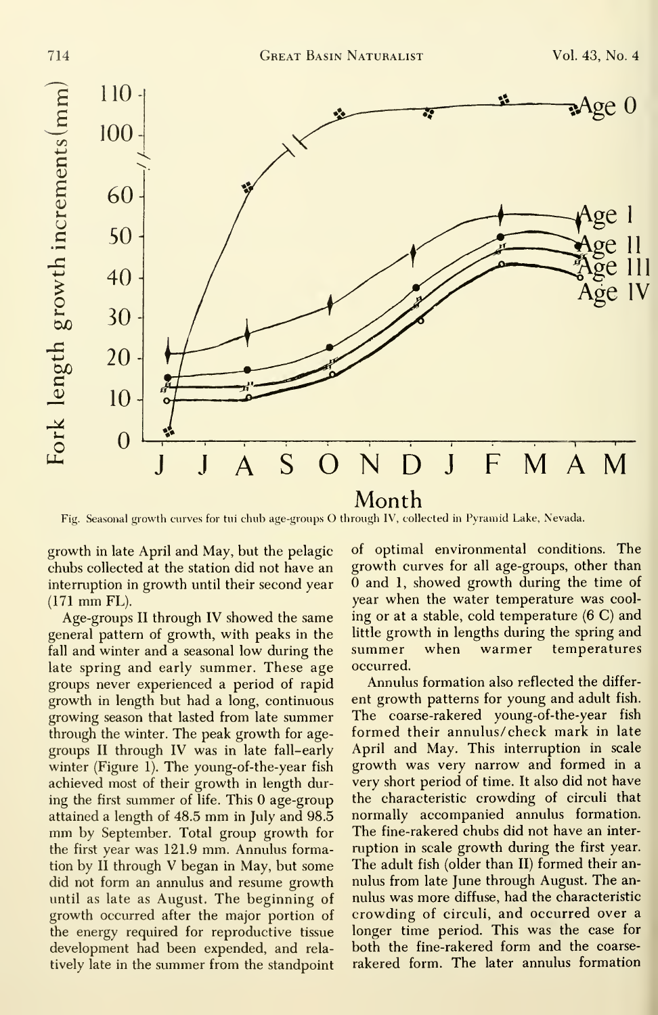

Fig. Seasonal growth curves for tui chub age-groups O through IV, collected in Pyramid Lake, Nevada.

growth in late April and May, but the pelagic chubs collected at the station did not have an interruption in growth until their second year (171 mm FL).

Age-groups II through IV showed the same general pattern of growth, with peaks in the little ground fill and winter and a seasonal low during the summer fall and winter and a seasonal low during the late spring and early summer. These age groups never experienced a period of rapid growth in length but had a long, continuous growing season that lasted from late summer through the winter. The peak growth for age groups II through IV was in late fall-early winter (Figure 1). The young-of-the-year fish achieved most of their growth in length during the first summer of life. This 0 age-group attained <sup>a</sup> length of 48.5 mm in July and 98.5 mm by September. Total group growth for the first year was 121.9 mm. Annulus formation by II through V began in May, but some did not form an annulus and resume growth until as late as August. The beginning of growth occurred after the major portion of the energy required for reproductive tissue development had been expended, and rela tively late in the summer from the standpoint

of optimal environmental conditions. The growth curves for all age-groups, other than  $\overline{0}$  and 1, showed growth during the time of year when the water temperature was cool ing or at a stable, cold temperature (6 C) and little growth in lengths during the spring and when warmer temperatures occurred.

Annulus formation also reflected the differ ent growth patterns for young and adult fish. The coarse-rakered young-of-the-year fish formed their annulus/check mark in late April and May. This interruption in scale growth was very narrow and formed in a very short period of time. It also did not have the characteristic crowding of circuli that normally accompanied annulus formation. The fine-rakered chubs did not have an inter ruption in scale growth during the first year. The adult fish (older than II) formed their an nulus from late June through August. The an nulus was more diffuse, had the characteristic crowding of circuli, and occurred over a longer time period. This was the case for both the fine-rakered form and the coarse rakered form. The later annulus formation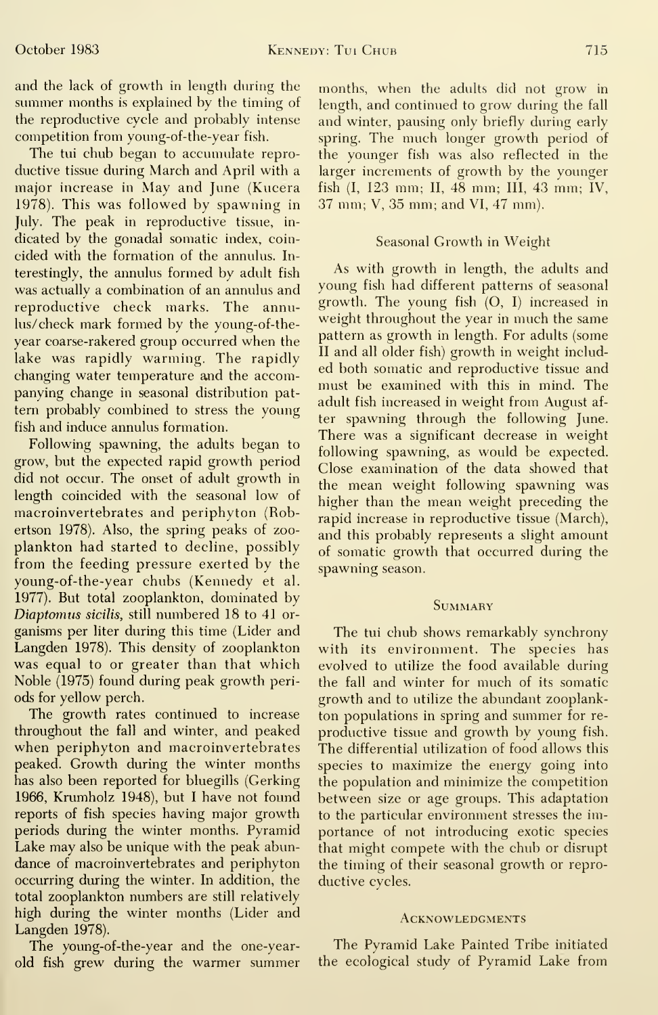and the lack of growth in length during the summer months is explained by the timing of the reproductive cycle and probably intense competition from young-of-the-year fish.

The tui chub began to accumulate repro ductive tissue during March and April with a major increase in May and June (Kucera 1978). This was followed by spawning in July. The peak in reproductive tissue, in dicated by the gonadal somatic index, coin cided with the formation of the annulus. Interestingly, the annulus formed by adult fish was actually a combination of an annulus and reproductive check marks. The annulus/ check mark formed by the young-of-the year coarse-rakered group occurred when the lake was rapidly warming. The rapidly changing water temperature and the accompanying change in seasonal distribution pat tern probably combined to stress the young fish and induce annulus formation.

Following spawning, the adults began to grow, but the expected rapid growth period did not occur. The onset of adult growth in length coincided with the seasonal low of macroinvertebrates and periphyton (Robertson 1978). Also, the spring peaks of zoo plankton had started to decline, possibly from the feeding pressure exerted by the young-of-the-year chubs (Kennedy et al. 1977). But total zooplankton, dominated by Diaptomus sicilis, still numbered 18 to 41 organisms per liter during this time (Lider and Langden 1978). This density of zooplankton was equal to or greater than that which Noble (1975) found during peak growth periods for yellow perch.

The growth rates continued to increase throughout the fall and winter, and peaked when periphyton and macroinvertebrates peaked. Growth during the winter months has also been reported for bluegills (Gerking 1966, Krumholz 1948), but I have not found reports of fish species having major growth periods during the winter months. Pyramid Lake may also be unique with the peak abundance of macroinvertebrates and periphyton occurring during the winter. In addition, the total zooplankton numbers are still relatively high during the winter months (Lider and Langden 1978).

The young-of-the-year and the one-yearold fish grew during the warmer summer months, when the adults did not grow in length, and continued to grow during the fall and winter, pausing only briefly during early spring. The much longer growth period of the younger fish was also reflected in the larger increments of growth by the younger fish (I, 123 mm; II,48 mm; III, 43 mm; IV, 37 mm; V, 35 mm; and VI, 47 mm).

# Seasonal Growth in Weight

As with growth in length, the adults and young fish had different patterns of seasonal growth. The young fish (O, I) increased in weight throughout the year in much the same pattern as growth in length. For adults (some II and all older fish) growth in weight included both somatic and reproductive tissue and must be examined with this in mind. The adult fish increased in weight from August af ter spawning through the following June. There was a significant decrease in weight following spawning, as would be expected. Close examination of the data showed that the mean weight following spawning was higher than the mean weight preceding the rapid increase in reproductive tissue (March), and this probably represents a slight amount of somatic growth that occurred during the spawning season.

# **SUMMARY**

The tui chub shows remarkably synchrony with its environment. The species has evolved to utilize the food available during the fall and winter for much of its somatic growth and to utilize the abundant zooplankton populations in spring and summer for re productive tissue and growth by young fish. The differential utilization of food allows this species to maximize the energy going into the population and minimize the competition between size or age groups. This adaptation to the particular environment stresses the importance of not introducing exotic species that might compete with the chub or disrupt the timing of their seasonal growth or repro ductive cycles.

# **ACKNOWLEDGMENTS**

The Pyramid Lake Painted Tribe initiated the ecological study of Pyramid Lake from